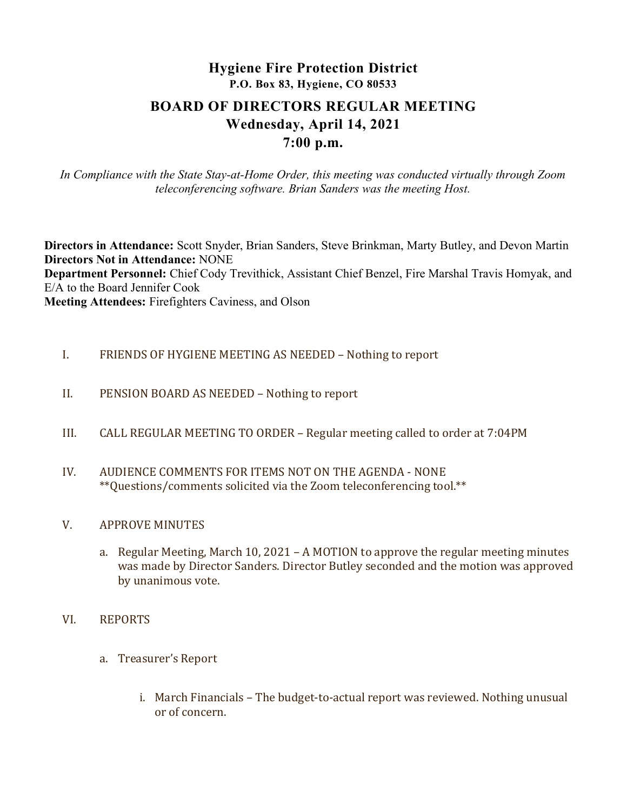# Hygiene Fire Protection District P.O. Box 83, Hygiene, CO 80533 BOARD OF DIRECTORS REGULAR MEETING Wednesday, April 14, 2021 7:00 p.m.

In Compliance with the State Stay-at-Home Order, this meeting was conducted virtually through Zoom teleconferencing software. Brian Sanders was the meeting Host.

Directors in Attendance: Scott Snyder, Brian Sanders, Steve Brinkman, Marty Butley, and Devon Martin Directors Not in Attendance: NONE Department Personnel: Chief Cody Trevithick, Assistant Chief Benzel, Fire Marshal Travis Homyak, and E/A to the Board Jennifer Cook Meeting Attendees: Firefighters Caviness, and Olson

- I. FRIENDS OF HYGIENE MEETING AS NEEDED Nothing to report
- II. PENSION BOARD AS NEEDED Nothing to report
- III. CALL REGULAR MEETING TO ORDER Regular meeting called to order at 7:04PM
- IV. AUDIENCE COMMENTS FOR ITEMS NOT ON THE AGENDA NONE \*\*Questions/comments solicited via the Zoom teleconferencing tool.\*\*
- V. APPROVE MINUTES
	- a. Regular Meeting, March 10, 2021 A MOTION to approve the regular meeting minutes was made by Director Sanders. Director Butley seconded and the motion was approved by unanimous vote.
- VI. REPORTS
	- a. Treasurer's Report
		- i. March Financials The budget-to-actual report was reviewed. Nothing unusual or of concern.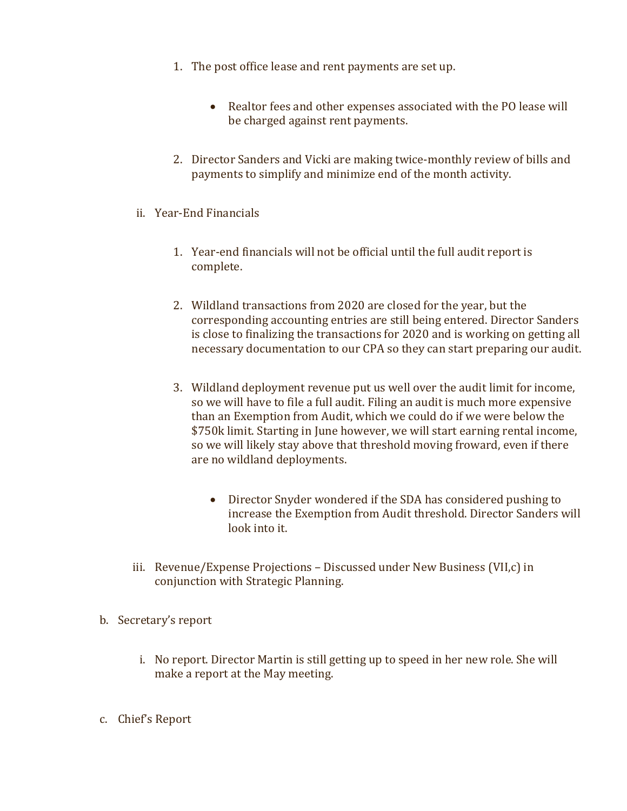- 1. The post office lease and rent payments are set up.
	- Realtor fees and other expenses associated with the PO lease will be charged against rent payments.
- 2. Director Sanders and Vicki are making twice-monthly review of bills and payments to simplify and minimize end of the month activity.
- ii. Year-End Financials
	- 1. Year-end financials will not be official until the full audit report is complete.
	- 2. Wildland transactions from 2020 are closed for the year, but the corresponding accounting entries are still being entered. Director Sanders is close to finalizing the transactions for 2020 and is working on getting all necessary documentation to our CPA so they can start preparing our audit.
	- 3. Wildland deployment revenue put us well over the audit limit for income, so we will have to file a full audit. Filing an audit is much more expensive than an Exemption from Audit, which we could do if we were below the \$750k limit. Starting in June however, we will start earning rental income, so we will likely stay above that threshold moving froward, even if there are no wildland deployments.
		- Director Snyder wondered if the SDA has considered pushing to increase the Exemption from Audit threshold. Director Sanders will look into it.
- iii. Revenue/Expense Projections Discussed under New Business (VII,c) in conjunction with Strategic Planning.
- b. Secretary's report
	- i. No report. Director Martin is still getting up to speed in her new role. She will make a report at the May meeting.
- c. Chief's Report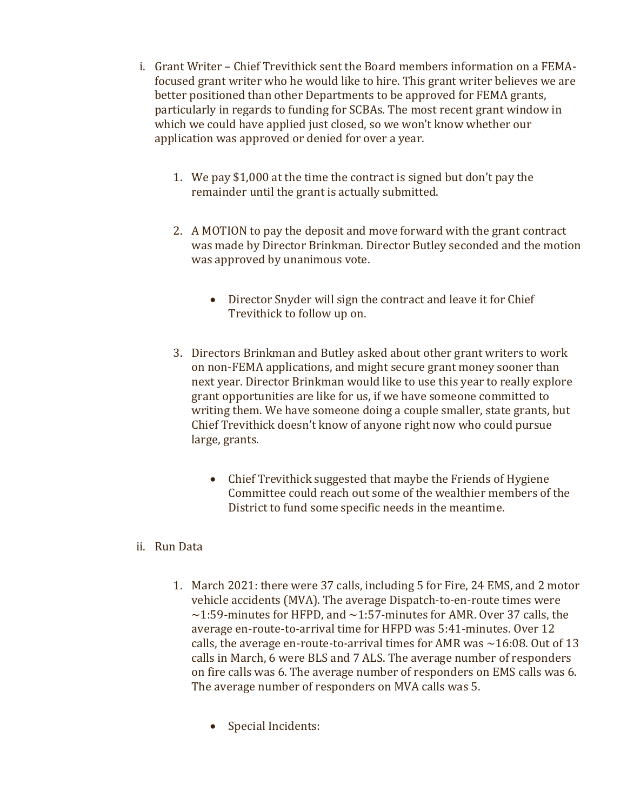- i. Grant Writer Chief Trevithick sent the Board members information on a FEMAfocused grant writer who he would like to hire. This grant writer believes we are better positioned than other Departments to be approved for FEMA grants, particularly in regards to funding for SCBAs. The most recent grant window in which we could have applied just closed, so we won't know whether our application was approved or denied for over a year.
	- 1. We pay \$1,000 at the time the contract is signed but don't pay the remainder until the grant is actually submitted.
	- 2. A MOTION to pay the deposit and move forward with the grant contract was made by Director Brinkman. Director Butley seconded and the motion was approved by unanimous vote.
		- Director Snyder will sign the contract and leave it for Chief Trevithick to follow up on.
	- 3. Directors Brinkman and Butley asked about other grant writers to work on non-FEMA applications, and might secure grant money sooner than next year. Director Brinkman would like to use this year to really explore grant opportunities are like for us, if we have someone committed to writing them. We have someone doing a couple smaller, state grants, but Chief Trevithick doesn't know of anyone right now who could pursue large, grants.
		- Chief Trevithick suggested that maybe the Friends of Hygiene Committee could reach out some of the wealthier members of the District to fund some specific needs in the meantime.

## ii. Run Data

- 1. March 2021: there were 37 calls, including 5 for Fire, 24 EMS, and 2 motor vehicle accidents (MVA). The average Dispatch-to-en-route times were  $\sim$ 1:59-minutes for HFPD, and  $\sim$ 1:57-minutes for AMR. Over 37 calls, the average en-route-to-arrival time for HFPD was 5:41-minutes. Over 12 calls, the average en-route-to-arrival times for AMR was  $\sim$  16:08. Out of 13 calls in March, 6 were BLS and 7 ALS. The average number of responders on fire calls was 6. The average number of responders on EMS calls was 6. The average number of responders on MVA calls was 5.
	- Special Incidents: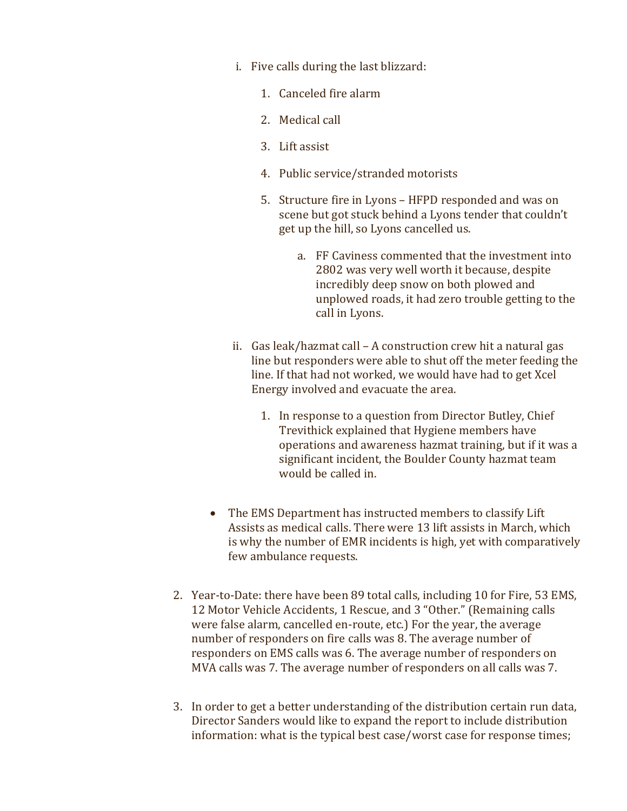- i. Five calls during the last blizzard:
	- 1. Canceled fire alarm
	- 2. Medical call
	- 3. Lift assist
	- 4. Public service/stranded motorists
	- 5. Structure fire in Lyons HFPD responded and was on scene but got stuck behind a Lyons tender that couldn't get up the hill, so Lyons cancelled us.
		- a. FF Caviness commented that the investment into 2802 was very well worth it because, despite incredibly deep snow on both plowed and unplowed roads, it had zero trouble getting to the call in Lyons.
- ii. Gas leak/hazmat call A construction crew hit a natural gas line but responders were able to shut off the meter feeding the line. If that had not worked, we would have had to get Xcel Energy involved and evacuate the area.
	- 1. In response to a question from Director Butley, Chief Trevithick explained that Hygiene members have operations and awareness hazmat training, but if it was a significant incident, the Boulder County hazmat team would be called in.
- The EMS Department has instructed members to classify Lift Assists as medical calls. There were 13 lift assists in March, which is why the number of EMR incidents is high, yet with comparatively few ambulance requests.
- 2. Year-to-Date: there have been 89 total calls, including 10 for Fire, 53 EMS, 12 Motor Vehicle Accidents, 1 Rescue, and 3 "Other." (Remaining calls were false alarm, cancelled en-route, etc.) For the year, the average number of responders on fire calls was 8. The average number of responders on EMS calls was 6. The average number of responders on MVA calls was 7. The average number of responders on all calls was 7.
- 3. In order to get a better understanding of the distribution certain run data, Director Sanders would like to expand the report to include distribution information: what is the typical best case/worst case for response times;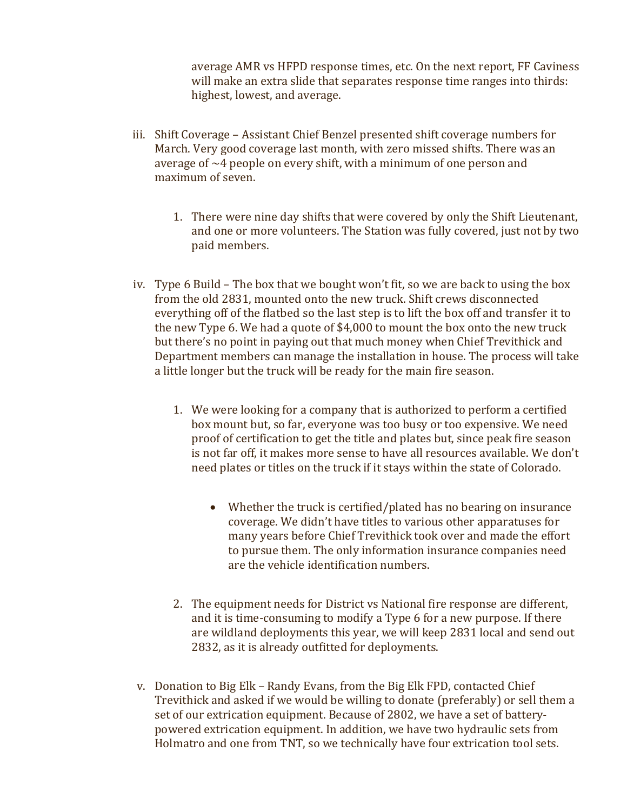average AMR vs HFPD response times, etc. On the next report, FF Caviness will make an extra slide that separates response time ranges into thirds: highest, lowest, and average.

- iii. Shift Coverage Assistant Chief Benzel presented shift coverage numbers for March. Very good coverage last month, with zero missed shifts. There was an average of  $\sim$ 4 people on every shift, with a minimum of one person and maximum of seven.
	- 1. There were nine day shifts that were covered by only the Shift Lieutenant, and one or more volunteers. The Station was fully covered, just not by two paid members.
- iv. Type 6 Build The box that we bought won't fit, so we are back to using the box from the old 2831, mounted onto the new truck. Shift crews disconnected everything off of the flatbed so the last step is to lift the box off and transfer it to the new Type 6. We had a quote of \$4,000 to mount the box onto the new truck but there's no point in paying out that much money when Chief Trevithick and Department members can manage the installation in house. The process will take a little longer but the truck will be ready for the main fire season.
	- 1. We were looking for a company that is authorized to perform a certified box mount but, so far, everyone was too busy or too expensive. We need proof of certification to get the title and plates but, since peak fire season is not far off, it makes more sense to have all resources available. We don't need plates or titles on the truck if it stays within the state of Colorado.
		- Whether the truck is certified/plated has no bearing on insurance coverage. We didn't have titles to various other apparatuses for many years before Chief Trevithick took over and made the effort to pursue them. The only information insurance companies need are the vehicle identification numbers.
	- 2. The equipment needs for District vs National fire response are different, and it is time-consuming to modify a Type 6 for a new purpose. If there are wildland deployments this year, we will keep 2831 local and send out 2832, as it is already outfitted for deployments.
- v. Donation to Big Elk Randy Evans, from the Big Elk FPD, contacted Chief Trevithick and asked if we would be willing to donate (preferably) or sell them a set of our extrication equipment. Because of 2802, we have a set of batterypowered extrication equipment. In addition, we have two hydraulic sets from Holmatro and one from TNT, so we technically have four extrication tool sets.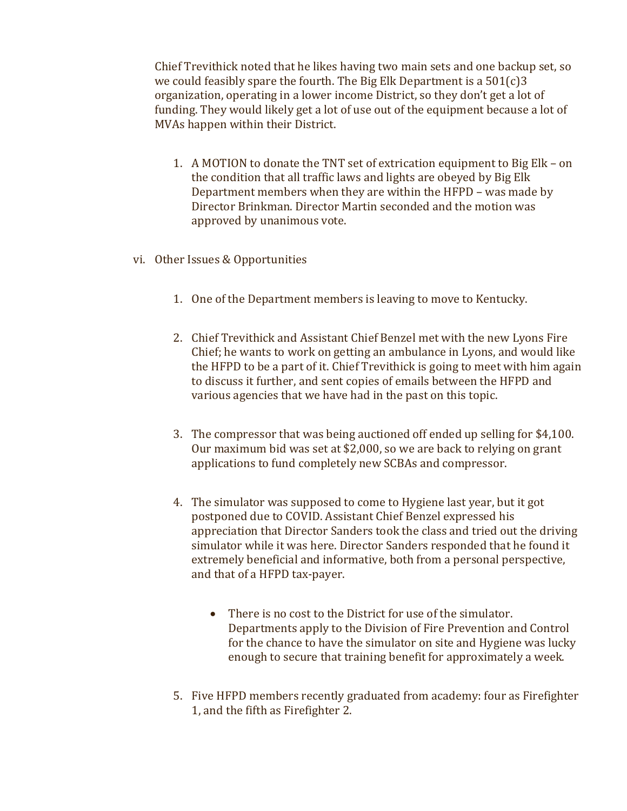Chief Trevithick noted that he likes having two main sets and one backup set, so we could feasibly spare the fourth. The Big Elk Department is a 501(c)3 organization, operating in a lower income District, so they don't get a lot of funding. They would likely get a lot of use out of the equipment because a lot of MVAs happen within their District.

- 1. A MOTION to donate the TNT set of extrication equipment to Big Elk on the condition that all traffic laws and lights are obeyed by Big Elk Department members when they are within the HFPD – was made by Director Brinkman. Director Martin seconded and the motion was approved by unanimous vote.
- vi. Other Issues & Opportunities
	- 1. One of the Department members is leaving to move to Kentucky.
	- 2. Chief Trevithick and Assistant Chief Benzel met with the new Lyons Fire Chief; he wants to work on getting an ambulance in Lyons, and would like the HFPD to be a part of it. Chief Trevithick is going to meet with him again to discuss it further, and sent copies of emails between the HFPD and various agencies that we have had in the past on this topic.
	- 3. The compressor that was being auctioned off ended up selling for \$4,100. Our maximum bid was set at \$2,000, so we are back to relying on grant applications to fund completely new SCBAs and compressor.
	- 4. The simulator was supposed to come to Hygiene last year, but it got postponed due to COVID. Assistant Chief Benzel expressed his appreciation that Director Sanders took the class and tried out the driving simulator while it was here. Director Sanders responded that he found it extremely beneficial and informative, both from a personal perspective, and that of a HFPD tax-payer.
		- There is no cost to the District for use of the simulator. Departments apply to the Division of Fire Prevention and Control for the chance to have the simulator on site and Hygiene was lucky enough to secure that training benefit for approximately a week.
	- 5. Five HFPD members recently graduated from academy: four as Firefighter 1, and the fifth as Firefighter 2.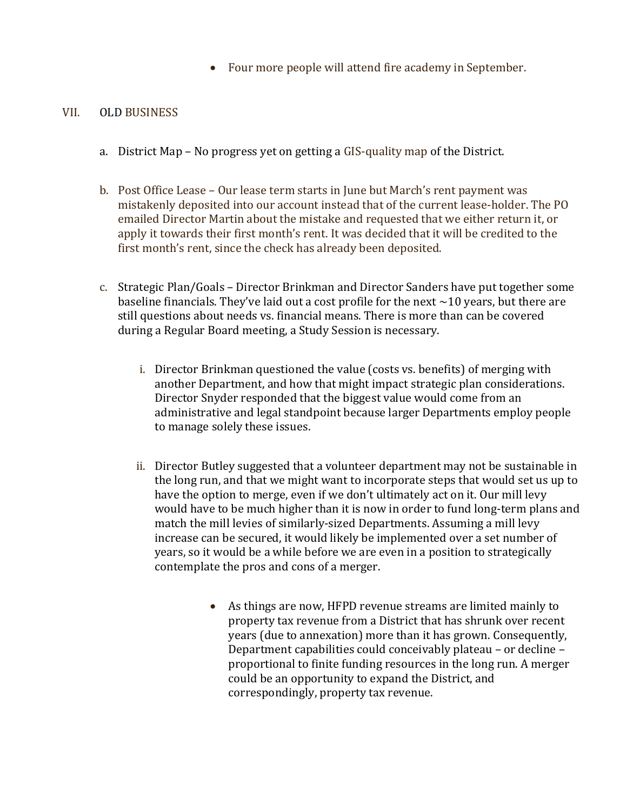Four more people will attend fire academy in September.

### VII. OLD BUSINESS

- a. District Map No progress yet on getting a GIS-quality map of the District.
- b. Post Office Lease Our lease term starts in June but March's rent payment was mistakenly deposited into our account instead that of the current lease-holder. The PO emailed Director Martin about the mistake and requested that we either return it, or apply it towards their first month's rent. It was decided that it will be credited to the first month's rent, since the check has already been deposited.
- c. Strategic Plan/Goals Director Brinkman and Director Sanders have put together some baseline financials. They've laid out a cost profile for the next  $\sim$  10 years, but there are still questions about needs vs. financial means. There is more than can be covered during a Regular Board meeting, a Study Session is necessary.
	- i. Director Brinkman questioned the value (costs vs. benefits) of merging with another Department, and how that might impact strategic plan considerations. Director Snyder responded that the biggest value would come from an administrative and legal standpoint because larger Departments employ people to manage solely these issues.
	- ii. Director Butley suggested that a volunteer department may not be sustainable in the long run, and that we might want to incorporate steps that would set us up to have the option to merge, even if we don't ultimately act on it. Our mill levy would have to be much higher than it is now in order to fund long-term plans and match the mill levies of similarly-sized Departments. Assuming a mill levy increase can be secured, it would likely be implemented over a set number of years, so it would be a while before we are even in a position to strategically contemplate the pros and cons of a merger.
		- As things are now, HFPD revenue streams are limited mainly to property tax revenue from a District that has shrunk over recent years (due to annexation) more than it has grown. Consequently, Department capabilities could conceivably plateau – or decline – proportional to finite funding resources in the long run. A merger could be an opportunity to expand the District, and correspondingly, property tax revenue.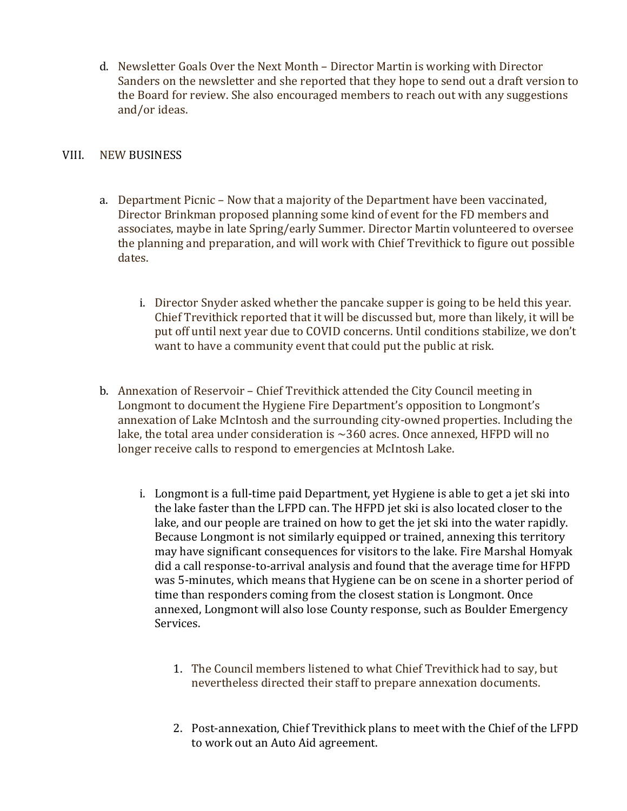d. Newsletter Goals Over the Next Month – Director Martin is working with Director Sanders on the newsletter and she reported that they hope to send out a draft version to the Board for review. She also encouraged members to reach out with any suggestions and/or ideas.

# VIII. NEW BUSINESS

- a. Department Picnic Now that a majority of the Department have been vaccinated, Director Brinkman proposed planning some kind of event for the FD members and associates, maybe in late Spring/early Summer. Director Martin volunteered to oversee the planning and preparation, and will work with Chief Trevithick to figure out possible dates.
	- i. Director Snyder asked whether the pancake supper is going to be held this year. Chief Trevithick reported that it will be discussed but, more than likely, it will be put off until next year due to COVID concerns. Until conditions stabilize, we don't want to have a community event that could put the public at risk.
- b. Annexation of Reservoir Chief Trevithick attended the City Council meeting in Longmont to document the Hygiene Fire Department's opposition to Longmont's annexation of Lake McIntosh and the surrounding city-owned properties. Including the lake, the total area under consideration is ~360 acres. Once annexed, HFPD will no longer receive calls to respond to emergencies at McIntosh Lake.
	- i. Longmont is a full-time paid Department, yet Hygiene is able to get a jet ski into the lake faster than the LFPD can. The HFPD jet ski is also located closer to the lake, and our people are trained on how to get the jet ski into the water rapidly. Because Longmont is not similarly equipped or trained, annexing this territory may have significant consequences for visitors to the lake. Fire Marshal Homyak did a call response-to-arrival analysis and found that the average time for HFPD was 5-minutes, which means that Hygiene can be on scene in a shorter period of time than responders coming from the closest station is Longmont. Once annexed, Longmont will also lose County response, such as Boulder Emergency Services.
		- 1. The Council members listened to what Chief Trevithick had to say, but nevertheless directed their staff to prepare annexation documents.
		- 2. Post-annexation, Chief Trevithick plans to meet with the Chief of the LFPD to work out an Auto Aid agreement.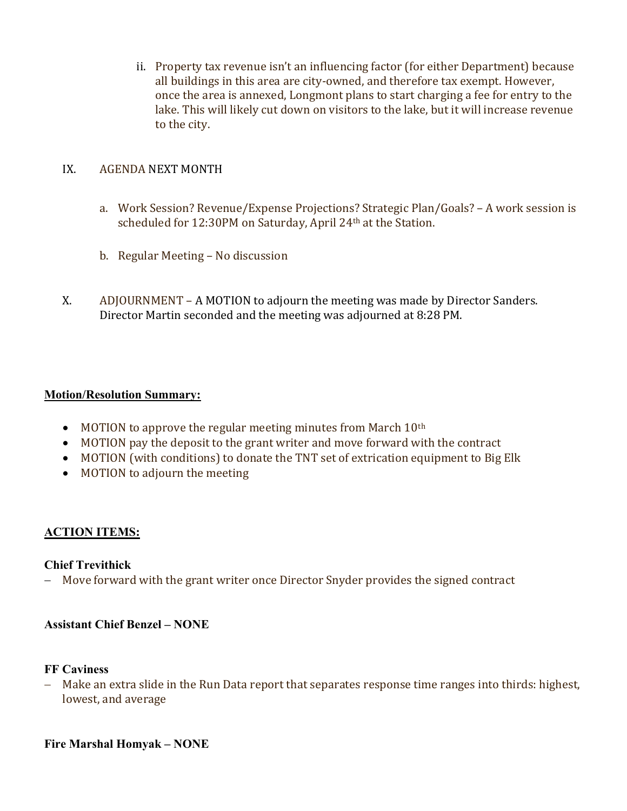ii. Property tax revenue isn't an influencing factor (for either Department) because all buildings in this area are city-owned, and therefore tax exempt. However, once the area is annexed, Longmont plans to start charging a fee for entry to the lake. This will likely cut down on visitors to the lake, but it will increase revenue to the city.

# IX. AGENDA NEXT MONTH

- a. Work Session? Revenue/Expense Projections? Strategic Plan/Goals? A work session is scheduled for 12:30PM on Saturday, April 24th at the Station.
- b. Regular Meeting No discussion
- X. ADJOURNMENT A MOTION to adjourn the meeting was made by Director Sanders. Director Martin seconded and the meeting was adjourned at 8:28 PM.

## Motion/Resolution Summary:

- $\bullet$  MOTION to approve the regular meeting minutes from March  $10<sup>th</sup>$
- MOTION pay the deposit to the grant writer and move forward with the contract
- MOTION (with conditions) to donate the TNT set of extrication equipment to Big Elk
- MOTION to adjourn the meeting

# ACTION ITEMS:

## Chief Trevithick

- Move forward with the grant writer once Director Snyder provides the signed contract

## Assistant Chief Benzel – NONE

#### FF Caviness

 Make an extra slide in the Run Data report that separates response time ranges into thirds: highest, lowest, and average

## Fire Marshal Homyak – NONE